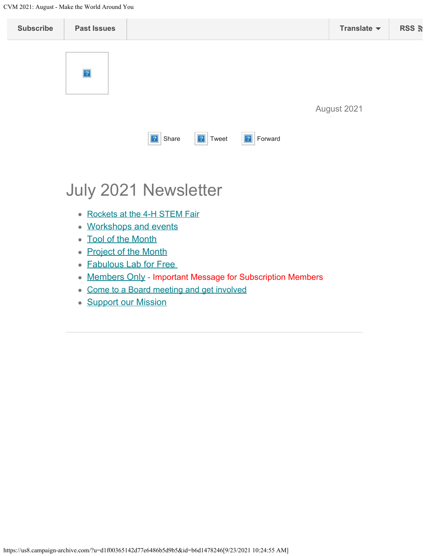<span id="page-0-0"></span>

| <b>Subscribe</b> | <b>Past Issues</b> |                      |                     |                       | Translate $\blacktriangledown$ | RSS <b>ត</b> |
|------------------|--------------------|----------------------|---------------------|-----------------------|--------------------------------|--------------|
|                  |                    |                      |                     |                       |                                |              |
|                  | $\boxed{?}$        |                      |                     |                       |                                |              |
|                  |                    |                      |                     |                       |                                |              |
|                  |                    |                      |                     |                       | August 2021                    |              |
|                  |                    | $\boxed{?}$<br>Share | $\sqrt{2}$<br>Tweet | $\sqrt{2}$<br>Forward |                                |              |

## July 2021 Newsletter

- [Rockets at the 4-H STEM Fair](#page-0-0)
- [Workshops and events](#page-0-0)
- [Tool of the Month](#page-0-0)
- [Project of the Month](#page-0-0)
- [Fabulous Lab for Free](#page-7-0)
- [Members Only](#page-9-0) Important Message for Subscription Members
- [Come to a Board meeting and get involved](#page-12-0)
- **[Support our Mission](https://www.cfneia.org/giving/give-today?fund=609)**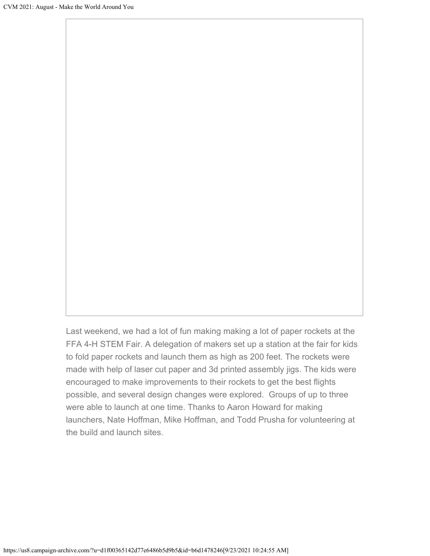Last weekend, we had a lot of fun making making a lot of paper rockets at the FFA 4-H STEM Fair. A delegation of makers set up a station at the fair for kids to fold paper rockets and launch them as high as 200 feet. The rockets were made with help of laser cut paper and 3d printed assembly jigs. The kids were encouraged to make improvements to their rockets to get the best flights possible, and several design changes were explored. Groups of up to three were able to launch at one time. Thanks to Aaron Howard for making launchers, Nate Hoffman, Mike Hoffman, and Todd Prusha for volunteering at the build and launch sites.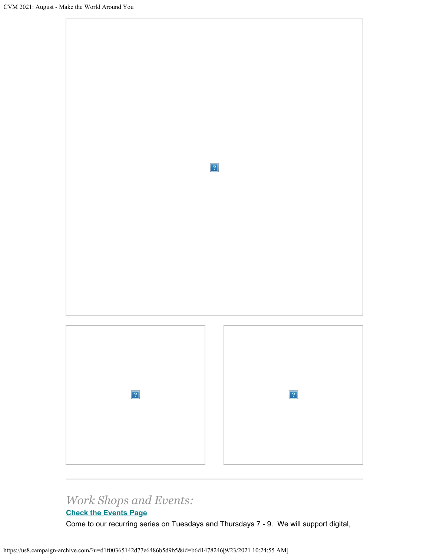

### *Work Shops and Events:*

#### **[Check the Events Page](https://www.cedarvalleymakers.org/events)**

Come to our recurring series on Tuesdays and Thursdays 7 - 9. We will support digital,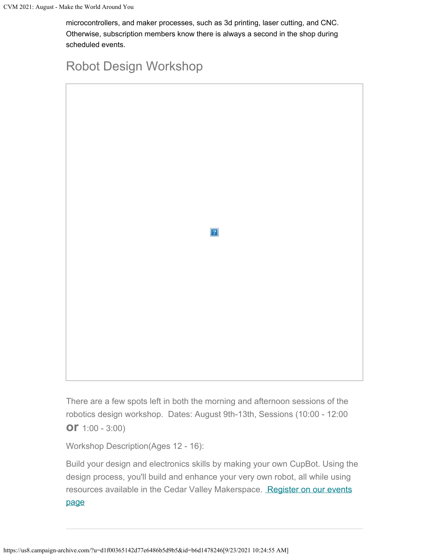microcontrollers, and maker processes, such as 3d printing, laser cutting, and CNC. Otherwise, subscription members know there is always a second in the shop during scheduled events.

#### Robot Design Workshop



There are a few spots left in both the morning and afternoon sessions of the robotics design workshop. Dates: August 9th-13th, Sessions (10:00 - 12:00 **or** 1:00 - 3:00)

Workshop Description(Ages 12 - 16):

Build your design and electronics skills by making your own CupBot. Using the design process, you'll build and enhance your very own robot, all while using resources available in the Cedar Valley Makerspace. [Register on our events](https://www.cedarvalleymakers.org/events) [page](https://www.cedarvalleymakers.org/events)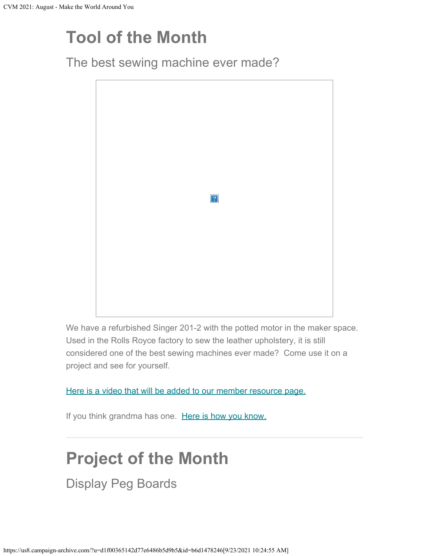# **Tool of the Month**

The best sewing machine ever made?



We have a refurbished Singer 201-2 with the potted motor in the maker space. Used in the Rolls Royce factory to sew the leather upholstery, it is still considered one of the best sewing machines ever made? Come use it on a project and see for yourself.

[Here is a video that will be added to our member resource page.](https://www.youtube.com/watch?v=Ck3zzFmhHqA)

If you think grandma has one. [Here is how you know.](http://vssmb.blogspot.com/2011/07/visual-guide-to-identifying-singers_30.html)

## **Project of the Month**

Display Peg Boards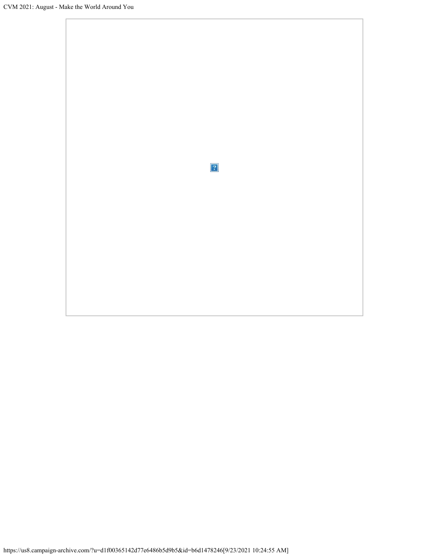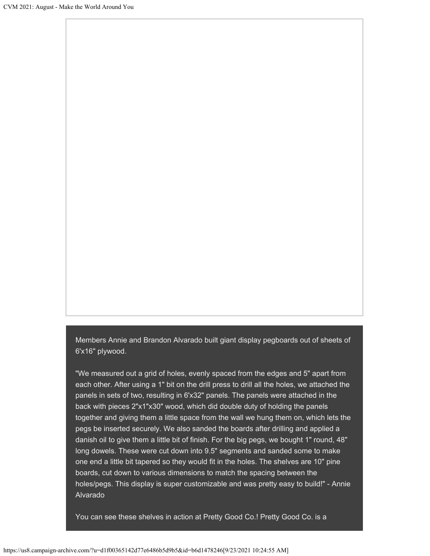Members Annie and Brandon Alvarado built giant display pegboards out of sheets of 6'x16" plywood.

"We measured out a grid of holes, evenly spaced from the edges and 5" apart from each other. After using a 1" bit on the drill press to drill all the holes, we attached the panels in sets of two, resulting in 6'x32" panels. The panels were attached in the back with pieces 2"x1"x30" wood, which did double duty of holding the panels together and giving them a little space from the wall we hung them on, which lets the pegs be inserted securely. We also sanded the boards after drilling and applied a danish oil to give them a little bit of finish. For the big pegs, we bought 1" round, 48" long dowels. These were cut down into 9.5" segments and sanded some to make one end a little bit tapered so they would fit in the holes. The shelves are 10" pine boards, cut down to various dimensions to match the spacing between the holes/pegs. This display is super customizable and was pretty easy to build!" - Annie Alvarado

You can see these shelves in action at Pretty Good Co.! Pretty Good Co. is a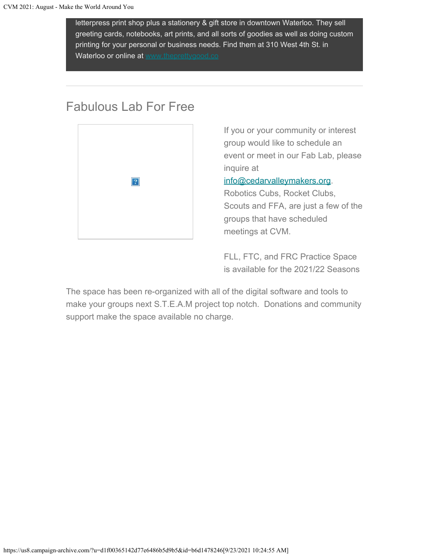letterpress print shop plus a stationery & gift store in downtown Waterloo. They sell greeting cards, notebooks, art prints, and all sorts of goodies as well as doing custom printing for your personal or business needs. Find them at 310 West 4th St. in Waterloo or online at [www.theprettygood.co](http://www.theprettygood.co/)

### Fabulous Lab For Free

<span id="page-7-0"></span>

If you or your community or interest group would like to schedule an event or meet in our Fab Lab, please inquire at

#### [info@cedarvalleymakers.org](mailto:info@cedarvalleymakers.org?subject=Can%20my%20group%20meet%20at%20the%20makerspace%3F).

Robotics Cubs, Rocket Clubs, Scouts and FFA, are just a few of the groups that have scheduled meetings at CVM.

FLL, FTC, and FRC Practice Space is available for the 2021/22 Seasons

The space has been re-organized with all of the digital software and tools to make your groups next S.T.E.A.M project top notch. Donations and community support make the space available no charge.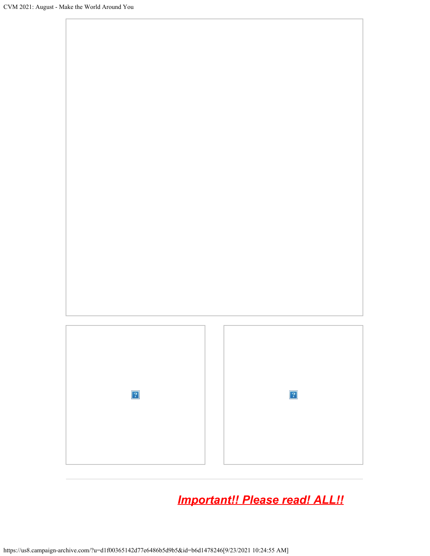

## *Important!! Please read! ALL!!*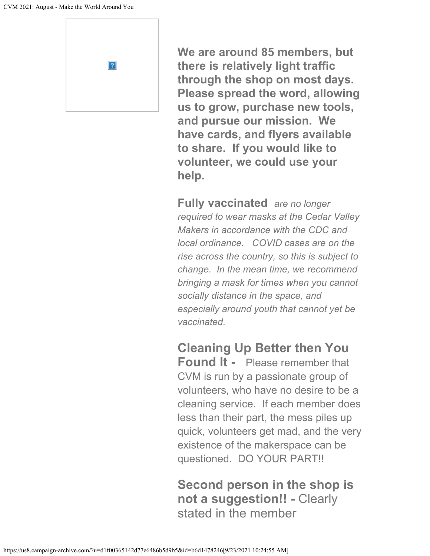

**We are around 85 members, but there is relatively light traffic through the shop on most days. Please spread the word, allowing us to grow, purchase new tools, and pursue our mission. We have cards, and flyers available to share. If you would like to volunteer, we could use your help.**

<span id="page-9-0"></span>**Fully vaccinated** *are no longer required to wear masks at the Cedar Valley Makers in accordance with the CDC and local ordinance. COVID cases are on the rise across the country, so this is subject to change. In the mean time, we recommend bringing a mask for times when you cannot socially distance in the space, and especially around youth that cannot yet be vaccinated.*

**Cleaning Up Better then You Found It -** Please remember that CVM is run by a passionate group of volunteers, who have no desire to be a cleaning service. If each member does less than their part, the mess piles up quick, volunteers get mad, and the very existence of the makerspace can be questioned. DO YOUR PART!!

**Second person in the shop is not a suggestion!! -** Clearly stated in the member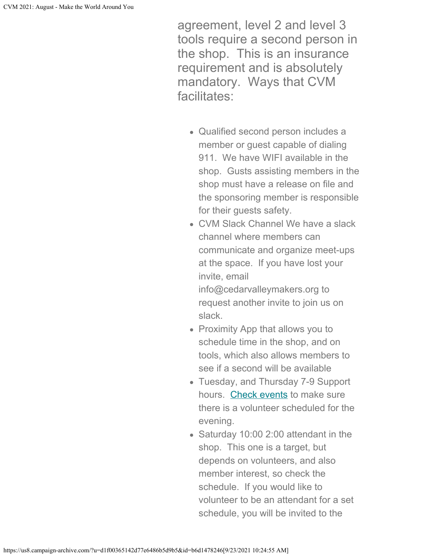agreement, level 2 and level 3 tools require a second person in the shop. This is an insurance requirement and is absolutely mandatory. Ways that CVM facilitates:

- Qualified second person includes a member or guest capable of dialing 911. We have WIFI available in the shop. Gusts assisting members in the shop must have a release on file and the sponsoring member is responsible for their guests safety.
- CVM Slack Channel We have a slack channel where members can communicate and organize meet-ups at the space. If you have lost your invite, email

info@cedarvalleymakers.org to request another invite to join us on slack.

- Proximity App that allows you to schedule time in the shop, and on tools, which also allows members to see if a second will be available
- Tuesday, and Thursday 7-9 Support hours. [Check events](https://members.cedarvalleymakers.org/events) to make sure there is a volunteer scheduled for the evening.
- Saturday 10:00 2:00 attendant in the shop. This one is a target, but depends on volunteers, and also member interest, so check the schedule. If you would like to volunteer to be an attendant for a set schedule, you will be invited to the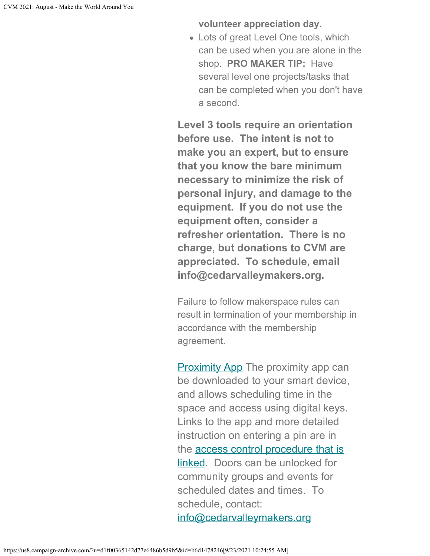**volunteer appreciation day.**

Lots of great Level One tools, which can be used when you are alone in the shop. **PRO MAKER TIP:** Have several level one projects/tasks that can be completed when you don't have a second.

**Level 3 tools require an orientation before use. The intent is not to make you an expert, but to ensure that you know the bare minimum necessary to minimize the risk of personal injury, and damage to the equipment. If you do not use the equipment often, consider a refresher orientation. There is no charge, but donations to CVM are appreciated. To schedule, email info@cedarvalleymakers.org.**

Failure to follow makerspace rules can result in termination of your membership in accordance with the membership agreement.

[Proximity App](https://www.proximity.space/apps/) The proximity app can be downloaded to your smart device, and allows scheduling time in the space and access using digital keys. Links to the app and more detailed instruction on entering a pin are in the access control [procedure that is](https://docs.google.com/document/d/18HC5n-TzWr5ynP8j1MGWK7xHu_oUE61Rvd1nA5EH2KA/edit?usp=sharing) [linked](https://docs.google.com/document/d/18HC5n-TzWr5ynP8j1MGWK7xHu_oUE61Rvd1nA5EH2KA/edit?usp=sharing). Doors can be unlocked for community groups and events for scheduled dates and times. To schedule, contact: [info@cedarvalleymakers.org](mailto:info@cedarvalleymakers.org?subject=Space%20access%20for%20event%20or%20group)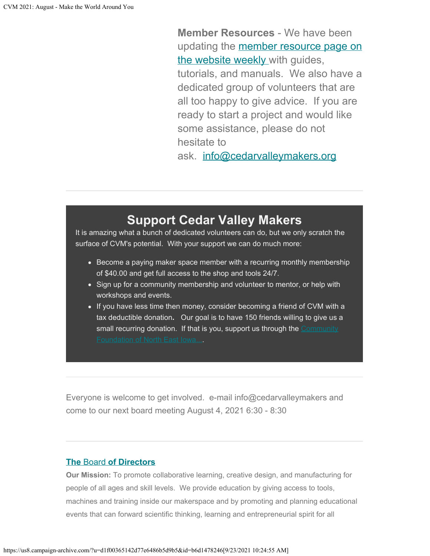**Member Resources** - We have been updating the [member resource page on](https://www.cedarvalleymakers.org/resource-center) [the website weekly](https://www.cedarvalleymakers.org/resource-center) with quides, tutorials, and manuals. We also have a dedicated group of volunteers that are all too happy to give advice. If you are ready to start a project and would like some assistance, please do not hesitate to

ask. [info@cedarvalleymakers.org](mailto:info@cedarvalleymakers.org)

### **Support Cedar Valley Makers**

It is amazing what a bunch of dedicated volunteers can do, but we only scratch the surface of CVM's potential. With your support we can do much more:

- Become a paying maker space member with a recurring monthly membership of \$40.00 and get full access to the shop and tools 24/7.
- Sign up for a community membership and volunteer to mentor, or help with workshops and events.
- If you have less time then money, consider becoming a friend of CVM with a tax deductible donation**.** Our goal is to have 150 friends willing to give us a small recurring donation. If that is you, support us through the [Community](https://www.cfneia.org/giving/give-today?fund=609)

<span id="page-12-0"></span>Everyone is welcome to get involved. e-mail info@cedarvalleymakers and come to our next board meeting August 4, 2021 6:30 - 8:30

#### **[The](https://www.cedarvalleymakers.org/Board-of-Directors/)** [Board](https://www.cedarvalleymakers.org/Board-of-Directors/) **[of Directors](https://www.cedarvalleymakers.org/Board-of-Directors/)**

**Our Mission:** To promote collaborative learning, creative design, and manufacturing for people of all ages and skill levels. We provide education by giving access to tools, machines and training inside our makerspace and by promoting and planning educational events that can forward scientific thinking, learning and entrepreneurial spirit for all